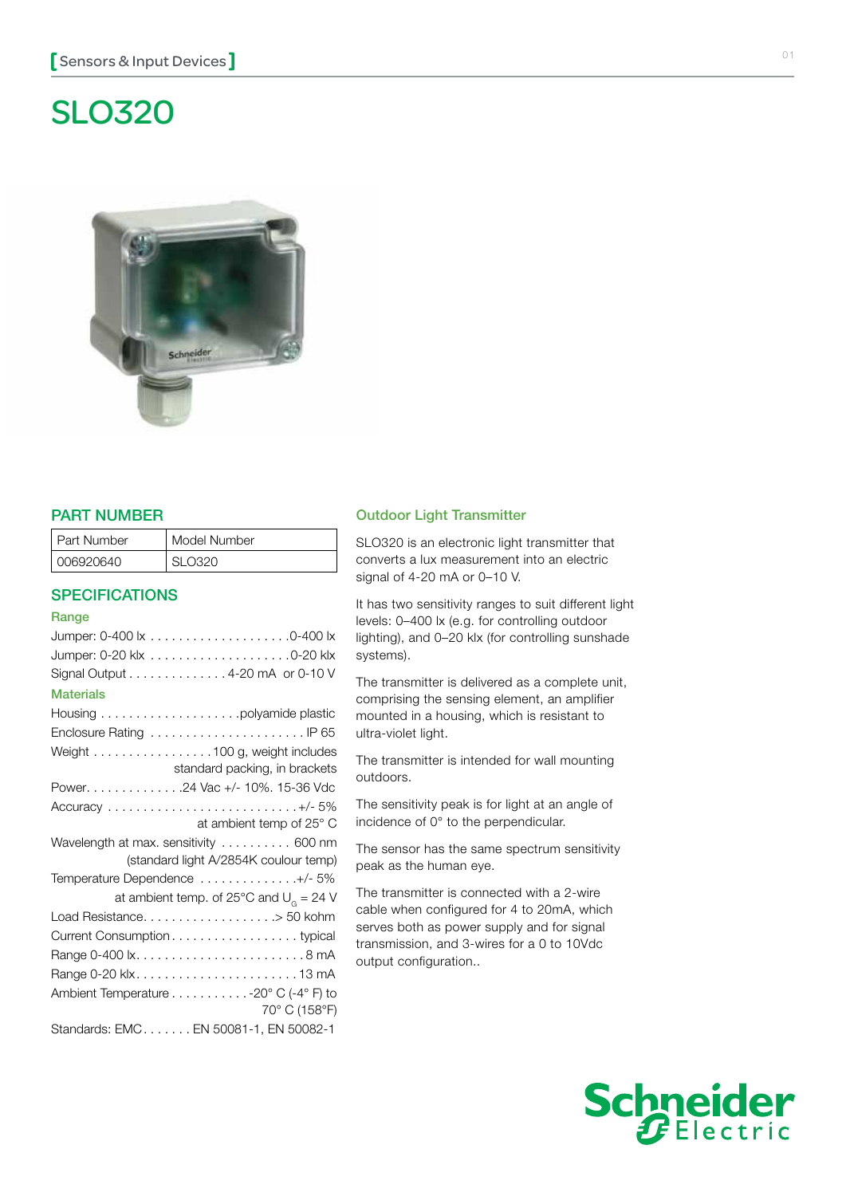# SLO320



## PART NUMBER

| l Part Number      | Model Number |
|--------------------|--------------|
| <u>  006920640</u> | חרדה וא      |

### **SPECIFICATIONS**

#### **Range**

## Outdoor Light Transmitter

SLO320 is an electronic light transmitter that converts a lux measurement into an electric signal of 4-20 mA or 0–10 V.

It has two sensitivity ranges to suit different light levels: 0–400 lx (e.g. for controlling outdoor lighting), and 0–20 klx (for controlling sunshade systems).

The transmitter is delivered as a complete unit, comprising the sensing element, an amplifier mounted in a housing, which is resistant to ultra-violet light.

The transmitter is intended for wall mounting outdoors.

The sensitivity peak is for light at an angle of incidence of 0° to the perpendicular.

The sensor has the same spectrum sensitivity peak as the human eye.

The transmitter is connected with a 2-wire cable when configured for 4 to 20mA, which serves both as power supply and for signal transmission, and 3-wires for a 0 to 10Vdc output configuration..